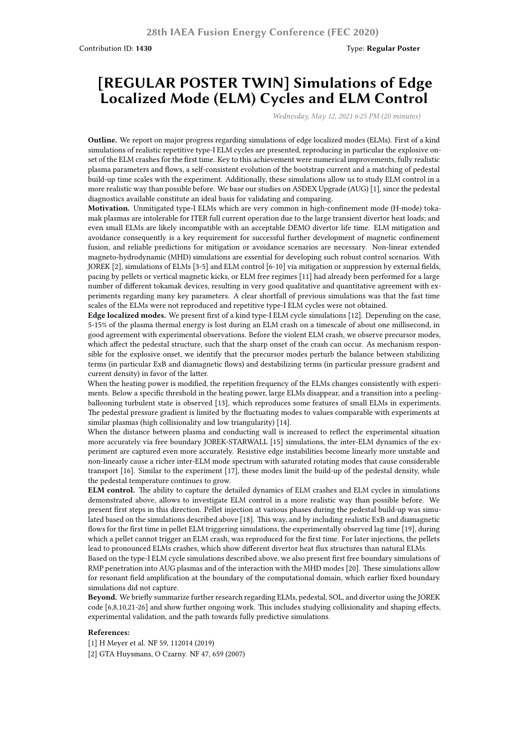## **[REGULAR POSTER TWIN] Simulations of Edge Localized Mode (ELM) Cycles and ELM Control**

*Wednesday, May 12, 2021 6:25 PM (20 minutes)*

**Outline.** We report on major progress regarding simulations of edge localized modes (ELMs). First of a kind simulations of realistic repetitive type-I ELM cycles are presented, reproducing in particular the explosive onset of the ELM crashes for the first time. Key to this achievement were numerical improvements, fully realistic plasma parameters and flows, a self-consistent evolution of the bootstrap current and a matching of pedestal build-up time scales with the experiment. Additionally, these simulations allow us to study ELM control in a more realistic way than possible before. We base our studies on ASDEX Upgrade (AUG) [1], since the pedestal diagnostics available constitute an ideal basis for validating and comparing.

**Motivation.** Unmitigated type-I ELMs which are very common in high-confinement mode (H-mode) tokamak plasmas are intolerable for ITER full current operation due to the large transient divertor heat loads; and even small ELMs are likely incompatible with an acceptable DEMO divertor life time. ELM mitigation and avoidance consequently is a key requirement for successful further development of magnetic confinement fusion, and reliable predictions for mitigation or avoidance scenarios are necessary. Non-linear extended magneto-hydrodynamic (MHD) simulations are essential for developing such robust control scenarios. With JOREK [2], simulations of ELMs [3-5] and ELM control [6-10] via mitigation or suppression by external fields, pacing by pellets or vertical magnetic kicks, or ELM free regimes [11] had already been performed for a large number of different tokamak devices, resulting in very good qualitative and quantitative agreement with experiments regarding many key parameters. A clear shortfall of previous simulations was that the fast time scales of the ELMs were not reproduced and repetitive type-I ELM cycles were not obtained.

**Edge localized modes.** We present first of a kind type-I ELM cycle simulations [12]. Depending on the case, 5-15% of the plasma thermal energy is lost during an ELM crash on a timescale of about one millisecond, in good agreement with experimental observations. Before the violent ELM crash, we observe precursor modes, which affect the pedestal structure, such that the sharp onset of the crash can occur. As mechanism responsible for the explosive onset, we identify that the precursor modes perturb the balance between stabilizing terms (in particular ExB and diamagnetic flows) and destabilizing terms (in particular pressure gradient and current density) in favor of the latter.

When the heating power is modified, the repetition frequency of the ELMs changes consistently with experiments. Below a specific threshold in the heating power, large ELMs disappear, and a transition into a peelingballooning turbulent state is observed [13], which reproduces some features of small ELMs in experiments. The pedestal pressure gradient is limited by the fluctuating modes to values comparable with experiments at similar plasmas (high collisionality and low triangularity) [14].

When the distance between plasma and conducting wall is increased to reflect the experimental situation more accurately via free boundary JOREK-STARWALL [15] simulations, the inter-ELM dynamics of the experiment are captured even more accurately. Resistive edge instabilities become linearly more unstable and non-linearly cause a richer inter-ELM mode spectrum with saturated rotating modes that cause considerable transport [16]. Similar to the experiment [17], these modes limit the build-up of the pedestal density, while the pedestal temperature continues to grow.

**ELM control.** The ability to capture the detailed dynamics of ELM crashes and ELM cycles in simulations demonstrated above, allows to investigate ELM control in a more realistic way than possible before. We present first steps in this direction. Pellet injection at various phases during the pedestal build-up was simulated based on the simulations described above [18]. This way, and by including realistic ExB and diamagnetic flows for the first time in pellet ELM triggering simulations, the experimentally observed lag time [19], during which a pellet cannot trigger an ELM crash, was reproduced for the first time. For later injections, the pellets lead to pronounced ELMs crashes, which show different divertor heat flux structures than natural ELMs.

Based on the type-I ELM cycle simulations described above, we also present first free boundary simulations of RMP penetration into AUG plasmas and of the interaction with the MHD modes [20]. These simulations allow for resonant field amplification at the boundary of the computational domain, which earlier fixed boundary simulations did not capture.

**Beyond.** We briefly summarize further research regarding ELMs, pedestal, SOL, and divertor using the JOREK code [6,8,10,21-26] and show further ongoing work. This includes studying collisionality and shaping effects, experimental validation, and the path towards fully predictive simulations.

## **References:**

[1] H Meyer et al. NF 59, 112014 (2019)

[2] GTA Huysmans, O Czarny. NF 47, 659 (2007)